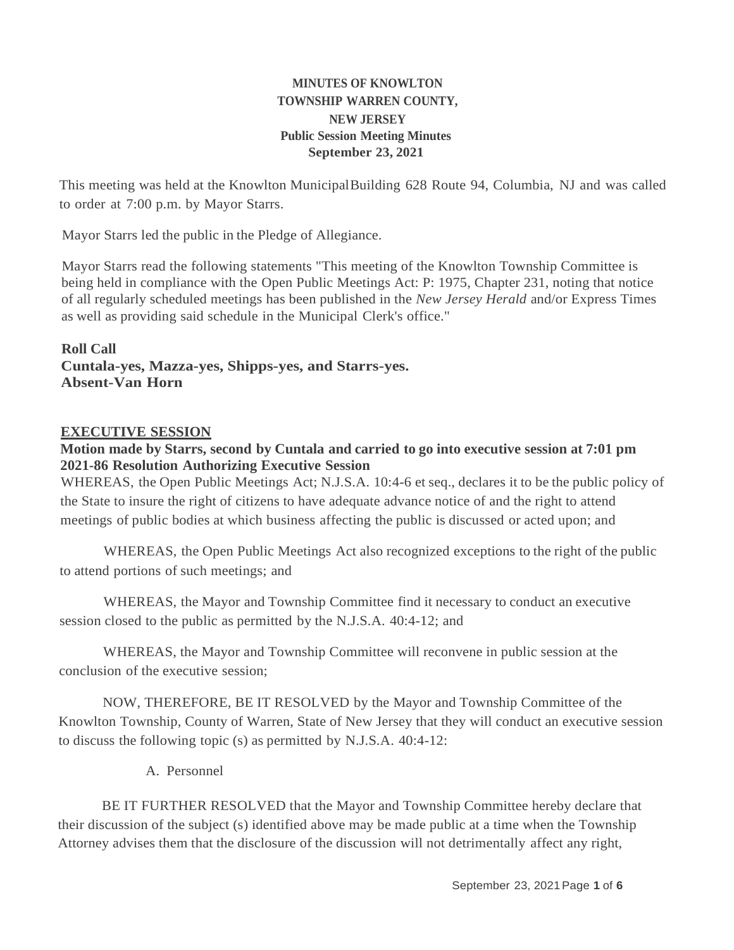# **MINUTES OF KNOWLTON TOWNSHIP WARREN COUNTY, NEW JERSEY Public Session Meeting Minutes September 23, 2021**

This meeting was held at the Knowlton MunicipalBuilding 628 Route 94, Columbia, NJ and was called to order at 7:00 p.m. by Mayor Starrs.

Mayor Starrs led the public in the Pledge of Allegiance.

Mayor Starrs read the following statements "This meeting of the Knowlton Township Committee is being held in compliance with the Open Public Meetings Act: P: 1975, Chapter 231, noting that notice of all regularly scheduled meetings has been published in the *New Jersey Herald* and/or Express Times as well as providing said schedule in the Municipal Clerk's office."

**Roll Call Cuntala-yes, Mazza-yes, Shipps-yes, and Starrs-yes. Absent-Van Horn**

#### **EXECUTIVE SESSION**

#### **Motion made by Starrs, second by Cuntala and carried to go into executive session at 7:01 pm 2021-86 Resolution Authorizing Executive Session**

WHEREAS, the Open Public Meetings Act; N.J.S.A. 10:4-6 et seq., declares it to be the public policy of the State to insure the right of citizens to have adequate advance notice of and the right to attend meetings of public bodies at which business affecting the public is discussed or acted upon; and

WHEREAS, the Open Public Meetings Act also recognized exceptions to the right of the public to attend portions of such meetings; and

WHEREAS, the Mayor and Township Committee find it necessary to conduct an executive session closed to the public as permitted by the N.J.S.A. 40:4-12; and

WHEREAS, the Mayor and Township Committee will reconvene in public session at the conclusion of the executive session;

NOW, THEREFORE, BE IT RESOLVED by the Mayor and Township Committee of the Knowlton Township, County of Warren, State of New Jersey that they will conduct an executive session to discuss the following topic (s) as permitted by N.J.S.A. 40:4-12:

A. Personnel

BE IT FURTHER RESOLVED that the Mayor and Township Committee hereby declare that their discussion of the subject (s) identified above may be made public at a time when the Township Attorney advises them that the disclosure of the discussion will not detrimentally affect any right,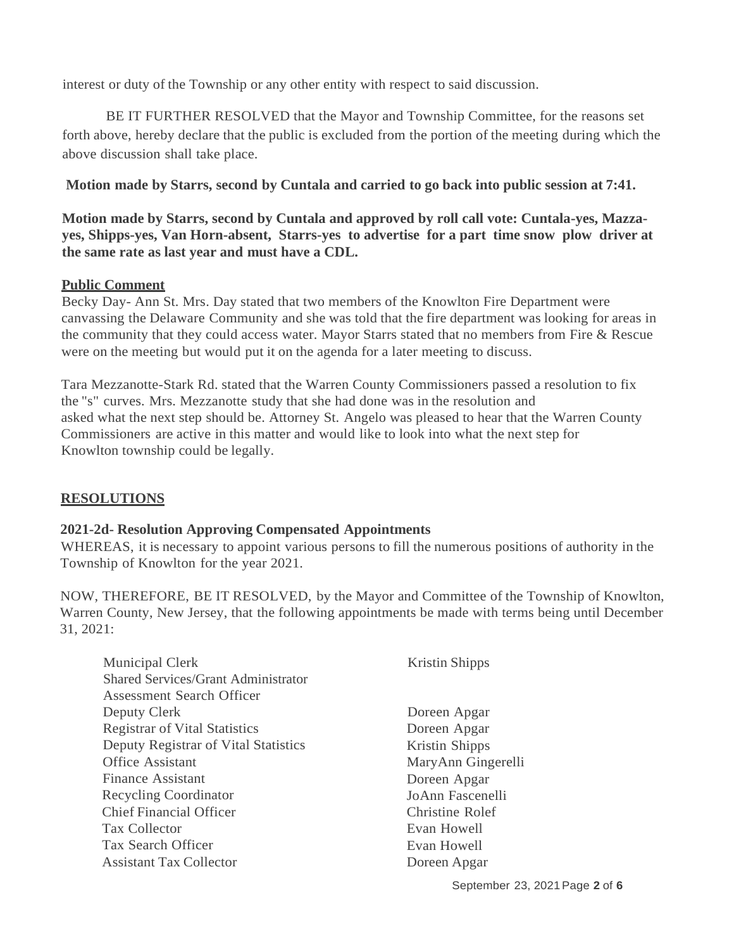interest or duty of the Township or any other entity with respect to said discussion.

BE IT FURTHER RESOLVED that the Mayor and Township Committee, for the reasons set forth above, hereby declare that the public is excluded from the portion of the meeting during which the above discussion shall take place.

**Motion made by Starrs, second by Cuntala and carried to go back into public session at 7:41.**

**Motion made by Starrs, second by Cuntala and approved by roll call vote: Cuntala-yes, Mazzayes, Shipps-yes, Van Horn-absent, Starrs-yes to advertise for a part time snow plow driver at the same rate as last year and must have a CDL.**

#### **Public Comment**

Becky Day- Ann St. Mrs. Day stated that two members of the Knowlton Fire Department were canvassing the Delaware Community and she was told that the fire department was looking for areas in the community that they could access water. Mayor Starrs stated that no members from Fire & Rescue were on the meeting but would put it on the agenda for a later meeting to discuss.

Tara Mezzanotte-Stark Rd. stated that the Warren County Commissioners passed a resolution to fix the "s" curves. Mrs. Mezzanotte study that she had done was in the resolution and asked what the next step should be. Attorney St. Angelo was pleased to hear that the Warren County Commissioners are active in this matter and would like to look into what the next step for Knowlton township could be legally.

# **RESOLUTIONS**

# **2021-2d- Resolution Approving Compensated Appointments**

WHEREAS, it is necessary to appoint various persons to fill the numerous positions of authority in the Township of Knowlton for the year 2021.

NOW, THEREFORE, BE IT RESOLVED, by the Mayor and Committee of the Township of Knowlton, Warren County, New Jersey, that the following appointments be made with terms being until December 31, 2021:

| Municipal Clerk                            | <b>Kristin Shipps</b> |
|--------------------------------------------|-----------------------|
| <b>Shared Services/Grant Administrator</b> |                       |
| <b>Assessment Search Officer</b>           |                       |
| Deputy Clerk                               | Doreen Apgar          |
| <b>Registrar of Vital Statistics</b>       | Doreen Apgar          |
| Deputy Registrar of Vital Statistics       | Kristin Shipps        |
| <b>Office Assistant</b>                    | MaryAnn Gingerelli    |
| <b>Finance Assistant</b>                   | Doreen Apgar          |
| Recycling Coordinator                      | JoAnn Fascenelli      |
| <b>Chief Financial Officer</b>             | Christine Rolef       |
| Tax Collector                              | Evan Howell           |
| Tax Search Officer                         | Evan Howell           |
| <b>Assistant Tax Collector</b>             | Doreen Apgar          |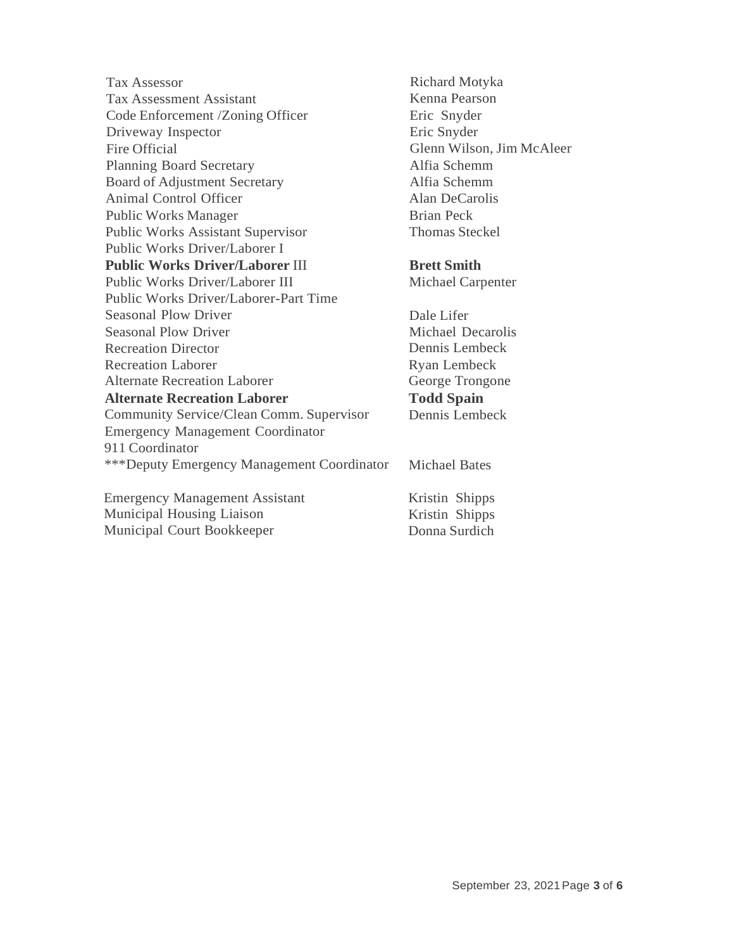Tax Assessor Tax Assessment Assistant Code Enforcement /Zoning Officer Driveway Inspector Fire Official Planning Board Secretary Board of Adjustment Secretary Animal Control Officer Public Works Manager Public Works Assistant Supervisor Public Works Driver/Laborer I **Public Works Driver/Laborer** III Public Works Driver/Laborer III Public Works Driver/Laborer-Part Time Seasonal Plow Driver Seasonal Plow Driver Recreation Director Recreation Laborer Alternate Recreation Laborer **Alternate Recreation Laborer** Community Service/Clean Comm. Supervisor Emergency Management Coordinator 911 Coordinator \*\*\*Deputy Emergency Management Coordinator Emergency Management Assistant Michael Bates

Municipal Housing Liaison Municipal Court Bookkeeper

Richard Motyka Kenna Pearson Eric Snyder Eric Snyder Glenn Wilson, Jim McAleer Alfia Schemm Alfia Schemm Alan DeCarolis Brian Peck Thomas Steckel

#### **Brett Smith**

Michael Carpenter

Dale Lifer Michael Decarolis Dennis Lembeck Ryan Lembeck George Trongone **Todd Spain** Dennis Lembeck

Kristin Shipps Kristin Shipps Donna Surdich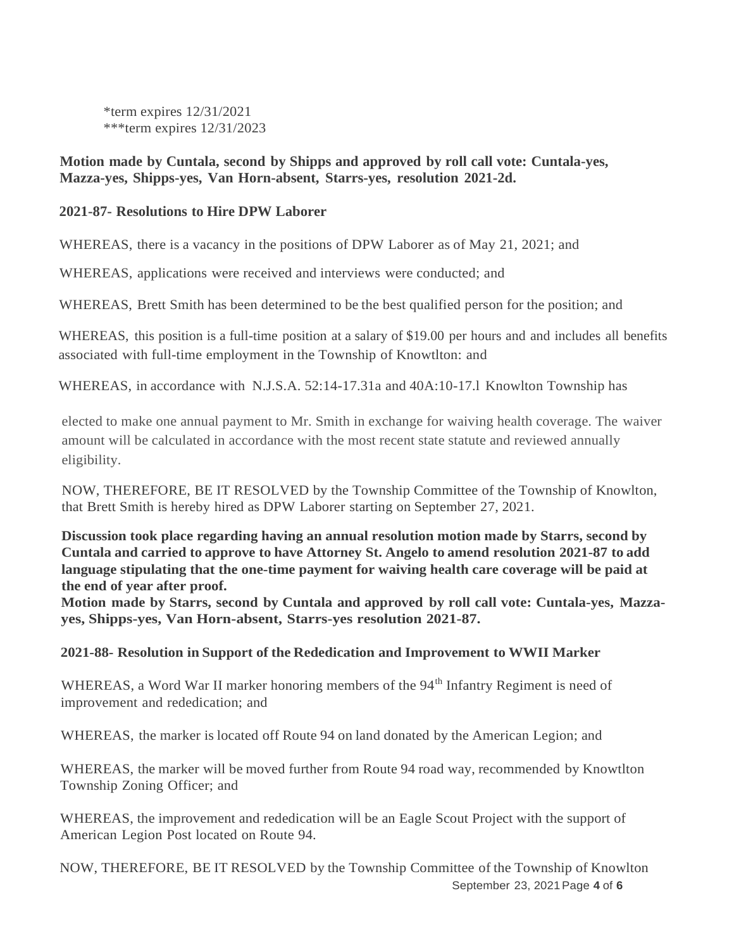\*term expires 12/31/2021 \*\*\*term expires 12/31/2023

#### **Motion made by Cuntala, second by Shipps and approved by roll call vote: Cuntala-yes, Mazza-yes, Shipps-yes, Van Horn-absent, Starrs-yes, resolution 2021-2d.**

#### **2021-87- Resolutions to Hire DPW Laborer**

WHEREAS, there is a vacancy in the positions of DPW Laborer as of May 21, 2021; and

WHEREAS, applications were received and interviews were conducted; and

WHEREAS, Brett Smith has been determined to be the best qualified person for the position; and

WHEREAS, this position is a full-time position at a salary of \$19.00 per hours and and includes all benefits associated with full-time employment in the Township of Knowtlton: and

WHEREAS, in accordance with N.J.S.A. 52:14-17.31a and 40A:10-17.1 Knowlton Township has

elected to make one annual payment to Mr. Smith in exchange for waiving health coverage. The waiver amount will be calculated in accordance with the most recent state statute and reviewed annually eligibility.

NOW, THEREFORE, BE IT RESOLVED by the Township Committee of the Township of Knowlton, that Brett Smith is hereby hired as DPW Laborer starting on September 27, 2021.

**Discussion took place regarding having an annual resolution motion made by Starrs, second by Cuntala and carried to approve to have Attorney St. Angelo to amend resolution 2021-87 to add language stipulating that the one-time payment for waiving health care coverage will be paid at the end of year after proof.**

**Motion made by Starrs, second by Cuntala and approved by roll call vote: Cuntala-yes, Mazzayes, Shipps-yes, Van Horn-absent, Starrs-yes resolution 2021-87.**

#### **2021-88- Resolution in Support of the Rededication and Improvement to WWII Marker**

WHEREAS, a Word War II marker honoring members of the 94<sup>th</sup> Infantry Regiment is need of improvement and rededication; and

WHEREAS, the marker is located off Route 94 on land donated by the American Legion; and

WHEREAS, the marker will be moved further from Route 94 road way, recommended by Knowtlton Township Zoning Officer; and

WHEREAS, the improvement and rededication will be an Eagle Scout Project with the support of American Legion Post located on Route 94.

September 23, 2021Page **4** of **6** NOW, THEREFORE, BE IT RESOLVED by the Township Committee of the Township of Knowlton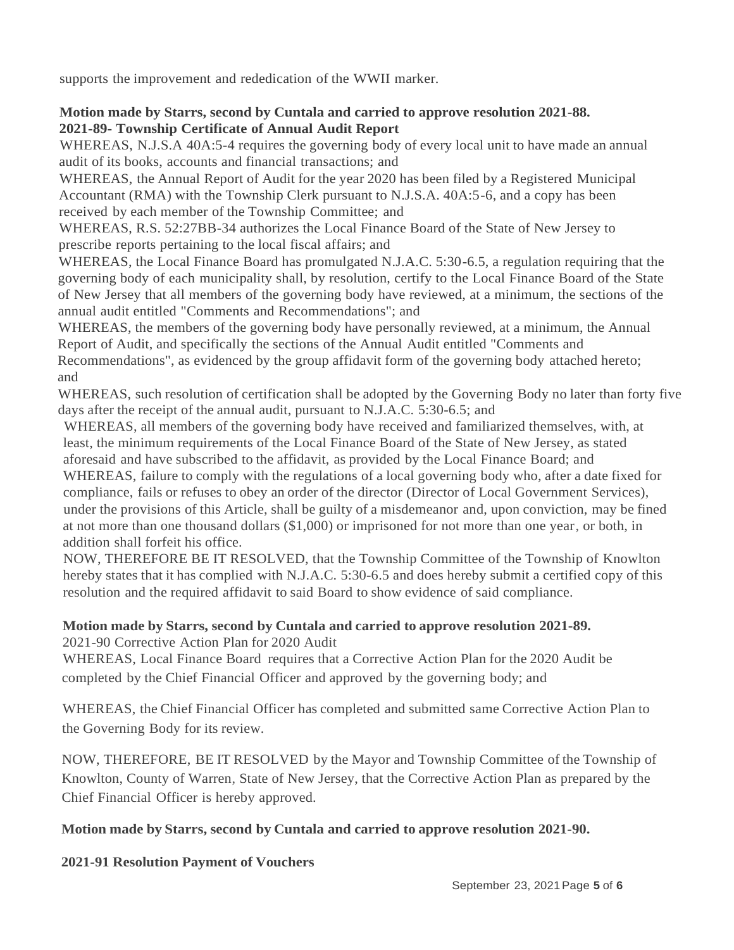supports the improvement and rededication of the WWII marker.

# **Motion made by Starrs, second by Cuntala and carried to approve resolution 2021-88. 2021-89- Township Certificate of Annual Audit Report**

WHEREAS, N.J.S.A 40A:5-4 requires the governing body of every local unit to have made an annual audit of its books, accounts and financial transactions; and

WHEREAS, the Annual Report of Audit for the year 2020 has been filed by a Registered Municipal Accountant (RMA) with the Township Clerk pursuant to N.J.S.A. 40A:5-6, and a copy has been received by each member of the Township Committee; and

WHEREAS, R.S. 52:27BB-34 authorizes the Local Finance Board of the State of New Jersey to prescribe reports pertaining to the local fiscal affairs; and

WHEREAS, the Local Finance Board has promulgated N.J.A.C. 5:30-6.5, a regulation requiring that the governing body of each municipality shall, by resolution, certify to the Local Finance Board of the State of New Jersey that all members of the governing body have reviewed, at a minimum, the sections of the annual audit entitled "Comments and Recommendations"; and

WHEREAS, the members of the governing body have personally reviewed, at a minimum, the Annual Report of Audit, and specifically the sections of the Annual Audit entitled "Comments and Recommendations", as evidenced by the group affidavit form of the governing body attached hereto; and

WHEREAS, such resolution of certification shall be adopted by the Governing Body no later than forty five days after the receipt of the annual audit, pursuant to N.J.A.C. 5:30-6.5; and

WHEREAS, all members of the governing body have received and familiarized themselves, with, at least, the minimum requirements of the Local Finance Board of the State of New Jersey, as stated aforesaid and have subscribed to the affidavit, as provided by the Local Finance Board; and WHEREAS, failure to comply with the regulations of a local governing body who, after a date fixed for compliance, fails or refuses to obey an order of the director (Director of Local Government Services), under the provisions of this Article, shall be guilty of a misdemeanor and, upon conviction, may be fined at not more than one thousand dollars (\$1,000) or imprisoned for not more than one year, or both, in addition shall forfeit his office.

NOW, THEREFORE BE IT RESOLVED, that the Township Committee of the Township of Knowlton hereby states that it has complied with N.J.A.C. 5:30-6.5 and does hereby submit a certified copy of this resolution and the required affidavit to said Board to show evidence of said compliance.

#### **Motion made by Starrs, second by Cuntala and carried to approve resolution 2021-89.** 2021-90 Corrective Action Plan for 2020 Audit

WHEREAS, Local Finance Board requires that a Corrective Action Plan for the 2020 Audit be completed by the Chief Financial Officer and approved by the governing body; and

WHEREAS, the Chief Financial Officer has completed and submitted same Corrective Action Plan to the Governing Body for its review.

NOW, THEREFORE, BE IT RESOLVED by the Mayor and Township Committee of the Township of Knowlton, County of Warren, State of New Jersey, that the Corrective Action Plan as prepared by the Chief Financial Officer is hereby approved.

# **Motion made by Starrs, second by Cuntala and carried to approve resolution 2021-90.**

# **2021-91 Resolution Payment of Vouchers**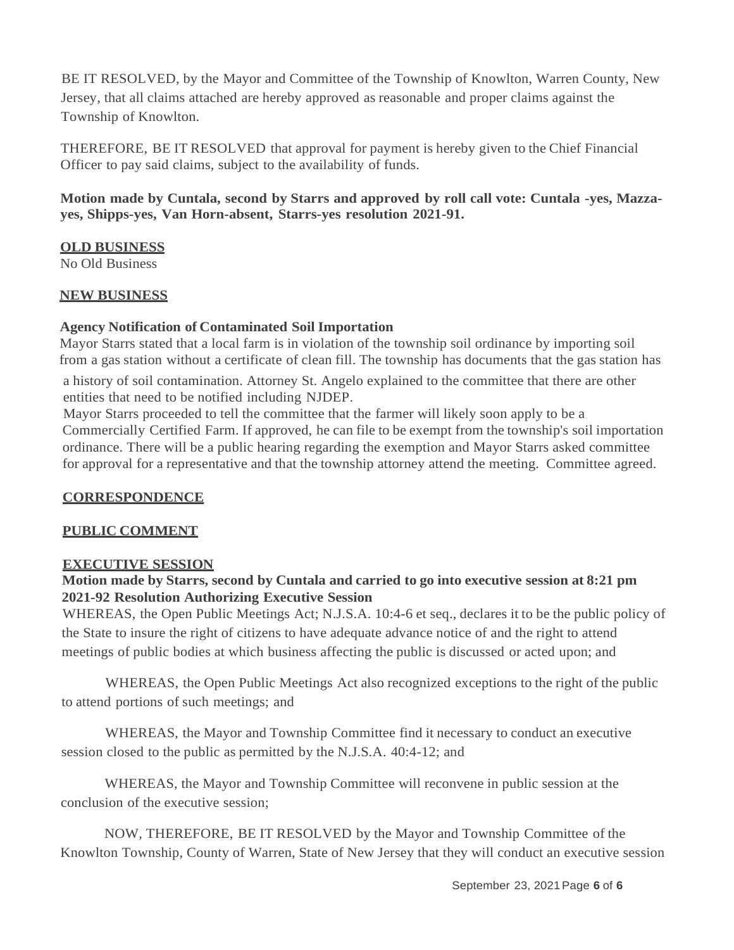BE IT RESOLVED, by the Mayor and Committee of the Township of Knowlton, Warren County, New Jersey, that all claims attached are hereby approved as reasonable and proper claims against the Township of Knowlton.

THEREFORE, BE IT RESOLVED that approval for payment is hereby given to the Chief Financial Officer to pay said claims, subject to the availability of funds.

# **Motion made by Cuntala, second by Starrs and approved by roll call vote: Cuntala -yes, Mazzayes, Shipps-yes, Van Horn-absent, Starrs-yes resolution 2021-91.**

# **OLD BUSINESS**

No Old Business

# **NEW BUSINESS**

# **Agency Notification of Contaminated Soil Importation**

Mayor Starrs stated that a local farm is in violation of the township soil ordinance by importing soil from a gas station without a certificate of clean fill. The township has documents that the gas station has a history of soil contamination. Attorney St. Angelo explained to the committee that there are other entities that need to be notified including NJDEP.

Mayor Starrs proceeded to tell the committee that the farmer will likely soon apply to be a Commercially Certified Farm. If approved, he can file to be exempt from the township's soil importation ordinance. There will be a public hearing regarding the exemption and Mayor Starrs asked committee for approval for a representative and that the township attorney attend the meeting. Committee agreed.

# **CORRESPONDENCE**

# **PUBLIC COMMENT**

# **EXECUTIVE SESSION**

#### **Motion made by Starrs, second by Cuntala and carried to go into executive session at 8:21 pm 2021-92 Resolution Authorizing Executive Session**

WHEREAS, the Open Public Meetings Act; N.J.S.A. 10:4-6 et seq., declares it to be the public policy of the State to insure the right of citizens to have adequate advance notice of and the right to attend meetings of public bodies at which business affecting the public is discussed or acted upon; and

WHEREAS, the Open Public Meetings Act also recognized exceptions to the right of the public to attend portions of such meetings; and

WHEREAS, the Mayor and Township Committee find it necessary to conduct an executive session closed to the public as permitted by the N.J.S.A. 40:4-12; and

WHEREAS, the Mayor and Township Committee will reconvene in public session at the conclusion of the executive session;

NOW, THEREFORE, BE IT RESOLVED by the Mayor and Township Committee of the Knowlton Township, County of Warren, State of New Jersey that they will conduct an executive session